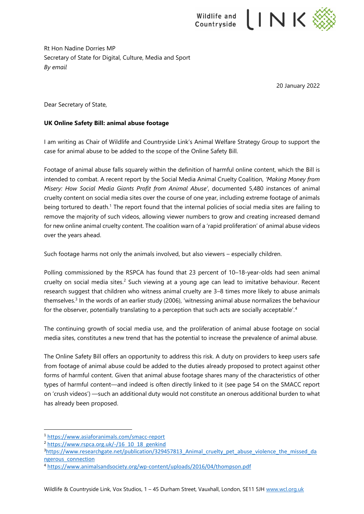

Rt Hon Nadine Dorries MP Secretary of State for Digital, Culture, Media and Sport *By email*

20 January 2022

Dear Secretary of State,

## **UK Online Safety Bill: animal abuse footage**

I am writing as Chair of Wildlife and Countryside Link's Animal Welfare Strategy Group to support the case for animal abuse to be added to the scope of the Online Safety Bill.

Footage of animal abuse falls squarely within the definition of harmful online content, which the Bill is intended to combat. A recent report by the Social Media Animal Cruelty Coalition, *'Making Money from Misery: How Social Media Giants Profit from Animal Abuse'*, documented 5,480 instances of animal cruelty content on social media sites over the course of one year, including extreme footage of animals being tortured to death.<sup>1</sup> The report found that the internal policies of social media sites are failing to remove the majority of such videos, allowing viewer numbers to grow and creating increased demand for new online animal cruelty content. The coalition warn of a 'rapid proliferation' of animal abuse videos over the years ahead.

Such footage harms not only the animals involved, but also viewers – especially children.

Polling commissioned by the RSPCA has found that 23 percent of 10–18-year-olds had seen animal cruelty on social media sites. <sup>2</sup> Such viewing at a young age can lead to imitative behaviour. Recent research suggest that children who witness animal cruelty are 3–8 times more likely to abuse animals themselves.<sup>3</sup> In the words of an earlier study (2006), 'witnessing animal abuse normalizes the behaviour for the observer, potentially translating to a perception that such acts are socially acceptable'.<sup>4</sup>

The continuing growth of social media use, and the proliferation of animal abuse footage on social media sites, constitutes a new trend that has the potential to increase the prevalence of animal abuse.

The Online Safety Bill offers an opportunity to address this risk. A duty on providers to keep users safe from footage of animal abuse could be added to the duties already proposed to protect against other forms of harmful content. Given that animal abuse footage shares many of the characteristics of other types of harmful content—and indeed is often directly linked to it (see page 54 on the SMACC report on 'crush videos') —such an additional duty would not constitute an onerous additional burden to what has already been proposed.

<sup>1</sup> <https://www.asiaforanimals.com/smacc-report>

<sup>&</sup>lt;sup>2</sup> [https://www.rspca.org.uk/-/16\\_10\\_18\\_genkind](https://www.rspca.org.uk/-/16_10_18_genkind)

<sup>&</sup>lt;sup>3</sup>https://www.researchgate.net/publication/329457813 Animal cruelty pet abuse violence the missed da [ngerous\\_connection](https://www.researchgate.net/publication/329457813_Animal_cruelty_pet_abuse_violence_the_missed_dangerous_connection)

<sup>4</sup> <https://www.animalsandsociety.org/wp-content/uploads/2016/04/thompson.pdf>